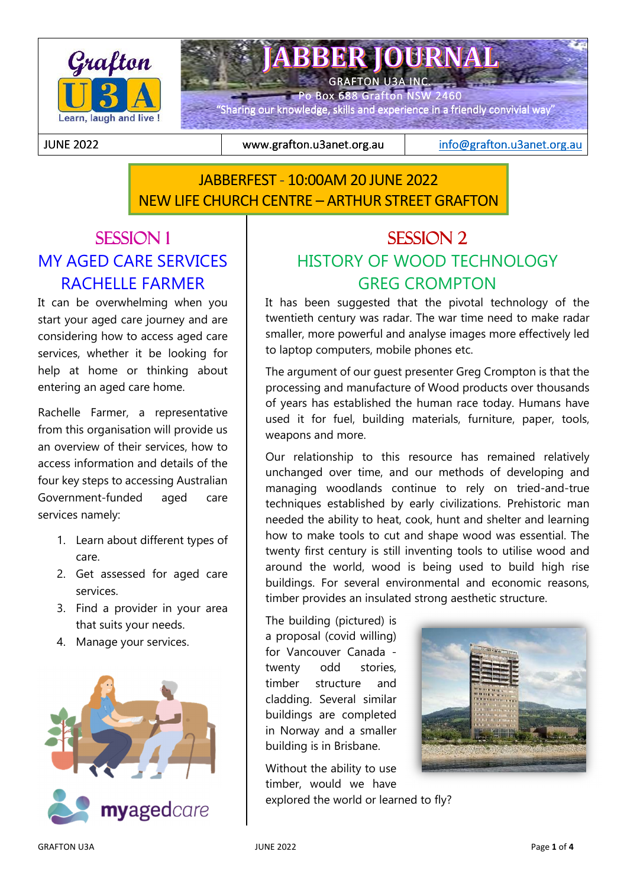

**ABBER JOURNAL** GRAFTON U3A INC.

Po Box 688 Grafton NSW 2460

"Sharing our knowledge, skills and experience in a friendly convivial way"

JUNE 2022 JUNE 2022 www.grafton.u3anet.org.au www.grafton.u3anet.org.auwww.grafton.u3anet.org.au info@grafton.u3anet.org.au

# JABBERFEST - 10:00AM 20 JUNE 2022 NEW LIFE CHURCH CENTRE – ARTHUR STREET GRAFTON

# SESSION 1 MY AGED CARE SERVICES RACHELLE FARMER

j

It can be overwhelming when you start your aged care journey and are considering how to access aged care services, whether it be looking for help at home or thinking about entering an aged care home.

Rachelle Farmer, a representative from this organisation will provide us an overview of their services, how to access information and details of the four key steps to accessing Australian Government-funded aged care services namely:

- 1. Learn about different types of care.
- 2. Get assessed for aged care services.
- 3. Find a provider in your area that suits your needs.
- 4. Manage your services.



# SESSION 2 HISTORY OF WOOD TECHNOLOGY GREG CROMPTON

It has been suggested that the pivotal technology of the twentieth century was radar. The war time need to make radar smaller, more powerful and analyse images more effectively led to laptop computers, mobile phones etc.

The argument of our guest presenter Greg Crompton is that the processing and manufacture of Wood products over thousands of years has established the human race today. Humans have used it for fuel, building materials, furniture, paper, tools, weapons and more.

Our relationship to this resource has remained relatively unchanged over time, and our methods of developing and managing woodlands continue to rely on tried-and-true techniques established by early civilizations. Prehistoric man needed the ability to heat, cook, hunt and shelter and learning how to make tools to cut and shape wood was essential. The twenty first century is still inventing tools to utilise wood and around the world, wood is being used to build high rise buildings. For several environmental and economic reasons, timber provides an insulated strong aesthetic structure.

The building (pictured) is a proposal (covid willing) for Vancouver Canada twenty odd stories, timber structure and cladding. Several similar buildings are completed in Norway and a smaller building is in Brisbane.

Without the ability to use timber, would we have explored the world or learned to fly?

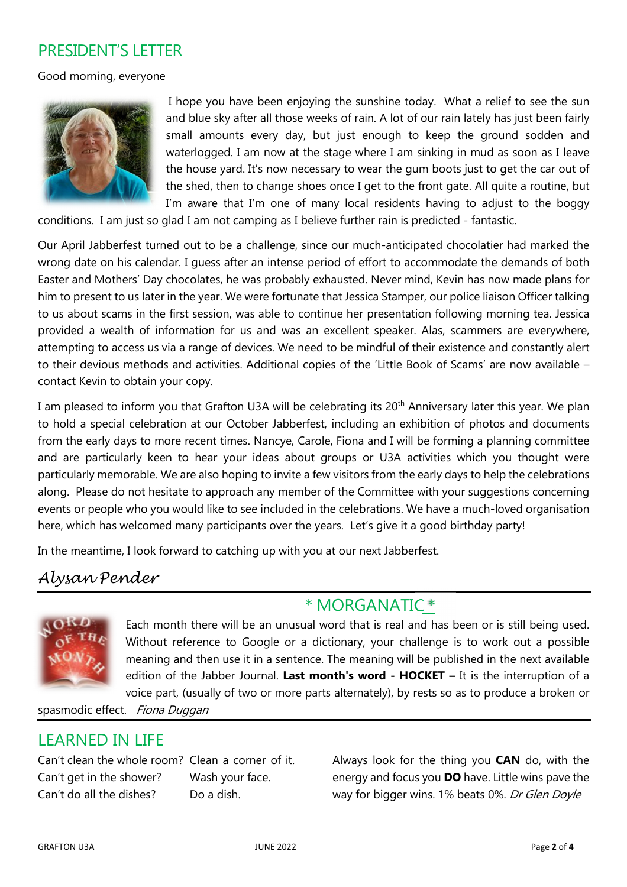### PRESIDENT'S LETTER

Good morning, everyone



I hope you have been enjoying the sunshine today. What a relief to see the sun and blue sky after all those weeks of rain. A lot of our rain lately has just been fairly small amounts every day, but just enough to keep the ground sodden and waterlogged. I am now at the stage where I am sinking in mud as soon as I leave the house yard. It's now necessary to wear the gum boots just to get the car out of the shed, then to change shoes once I get to the front gate. All quite a routine, but I'm aware that I'm one of many local residents having to adjust to the boggy

conditions. I am just so glad I am not camping as I believe further rain is predicted - fantastic.

Our April Jabberfest turned out to be a challenge, since our much-anticipated chocolatier had marked the wrong date on his calendar. I guess after an intense period of effort to accommodate the demands of both Easter and Mothers' Day chocolates, he was probably exhausted. Never mind, Kevin has now made plans for him to present to us later in the year. We were fortunate that Jessica Stamper, our police liaison Officer talking to us about scams in the first session, was able to continue her presentation following morning tea. Jessica provided a wealth of information for us and was an excellent speaker. Alas, scammers are everywhere, attempting to access us via a range of devices. We need to be mindful of their existence and constantly alert to their devious methods and activities. Additional copies of the 'Little Book of Scams' are now available – contact Kevin to obtain your copy.

I am pleased to inform you that Grafton U3A will be celebrating its 20<sup>th</sup> Anniversary later this year. We plan to hold a special celebration at our October Jabberfest, including an exhibition of photos and documents from the early days to more recent times. Nancye, Carole, Fiona and I will be forming a planning committee and are particularly keen to hear your ideas about groups or U3A activities which you thought were particularly memorable. We are also hoping to invite a few visitors from the early days to help the celebrations along. Please do not hesitate to approach any member of the Committee with your suggestions concerning events or people who you would like to see included in the celebrations. We have a much-loved organisation here, which has welcomed many participants over the years. Let's give it a good birthday party!

In the meantime, I look forward to catching up with you at our next Jabberfest.

## Alysan Pender



Each month there will be an unusual word that is real and has been or is still being used. Without reference to Google or a dictionary, your challenge is to work out a possible meaning and then use it in a sentence. The meaning will be published in the next available edition of the Jabber Journal. **Last month's word - HOCKET –** It is the interruption of a voice part, (usually of two or more parts alternately), by rests so as to produce a broken or

\* MORGANATIC \*

spasmodic effect. Fiona Duggan

## LEARNED IN LIFE

Can't clean the whole room? Clean a corner of it. Can't get in the shower? Wash your face. Can't do all the dishes? Do a dish.

Always look for the thing you **CAN** do, with the energy and focus you **DO** have. Little wins pave the way for bigger wins. 1% beats 0%. Dr Glen Doyle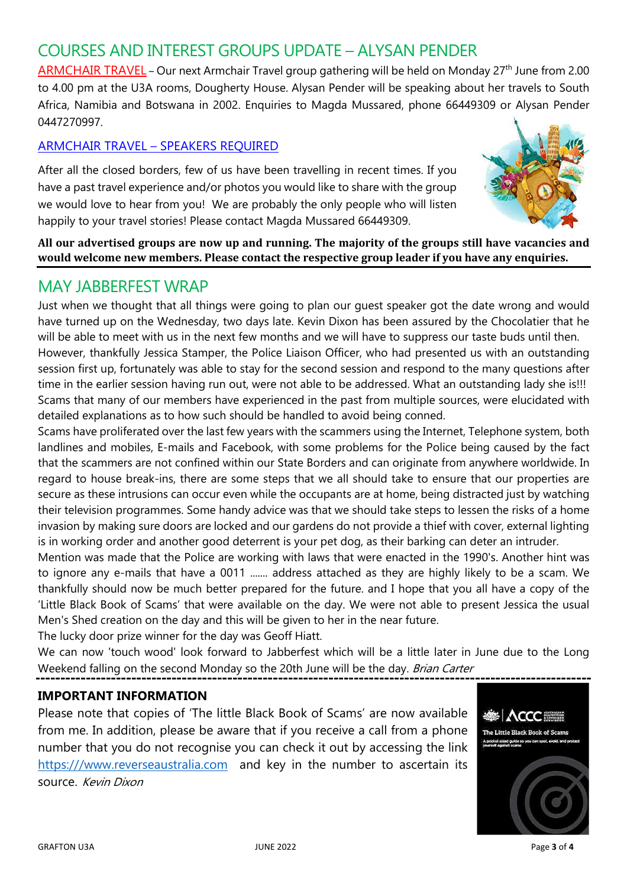# COURSES AND INTEREST GROUPS UPDATE – ALYSAN PENDER

ARMCHAIR TRAVEL - Our next Armchair Travel group gathering will be held on Monday 27<sup>th</sup> June from 2.00 to 4.00 pm at the U3A rooms, Dougherty House. Alysan Pender will be speaking about her travels to South Africa, Namibia and Botswana in 2002. Enquiries to Magda Mussared, phone 66449309 or Alysan Pender 0447270997.

#### ARMCHAIR TRAVEL – SPEAKERS REQUIRED

After all the closed borders, few of us have been travelling in recent times. If you have a past travel experience and/or photos you would like to share with the group we would love to hear from you! We are probably the only people who will listen happily to your travel stories! Please contact Magda Mussared 66449309.



**All our advertised groups are now up and running. The majority of the groups still have vacancies and would welcome new members. Please contact the respective group leader if you have any enquiries.** 

### MAY JABBERFEST WRAP

Just when we thought that all things were going to plan our guest speaker got the date wrong and would have turned up on the Wednesday, two days late. Kevin Dixon has been assured by the Chocolatier that he will be able to meet with us in the next few months and we will have to suppress our taste buds until then. However, thankfully Jessica Stamper, the Police Liaison Officer, who had presented us with an outstanding session first up, fortunately was able to stay for the second session and respond to the many questions after time in the earlier session having run out, were not able to be addressed. What an outstanding lady she is!!! Scams that many of our members have experienced in the past from multiple sources, were elucidated with detailed explanations as to how such should be handled to avoid being conned.

Scams have proliferated over the last few years with the scammers using the Internet, Telephone system, both landlines and mobiles, E-mails and Facebook, with some problems for the Police being caused by the fact that the scammers are not confined within our State Borders and can originate from anywhere worldwide. In regard to house break-ins, there are some steps that we all should take to ensure that our properties are secure as these intrusions can occur even while the occupants are at home, being distracted just by watching their television programmes. Some handy advice was that we should take steps to lessen the risks of a home invasion by making sure doors are locked and our gardens do not provide a thief with cover, external lighting is in working order and another good deterrent is your pet dog, as their barking can deter an intruder.

Mention was made that the Police are working with laws that were enacted in the 1990's. Another hint was to ignore any e-mails that have a 0011 ....... address attached as they are highly likely to be a scam. We thankfully should now be much better prepared for the future. and I hope that you all have a copy of the 'Little Black Book of Scams' that were available on the day. We were not able to present Jessica the usual Men's Shed creation on the day and this will be given to her in the near future.

The lucky door prize winner for the day was Geoff Hiatt.

We can now 'touch wood' look forward to Jabberfest which will be a little later in June due to the Long Weekend falling on the second Monday so the 20th June will be the day. Brian Carter

#### **IMPORTANT INFORMATION**

Please note that copies of 'The little Black Book of Scams' are now available from me. In addition, please be aware that if you receive a call from a phone number that you do not recognise you can check it out by accessing the link https:///www.reverseaustralia.com and key in the number to ascertain its source. Kevin Dixon